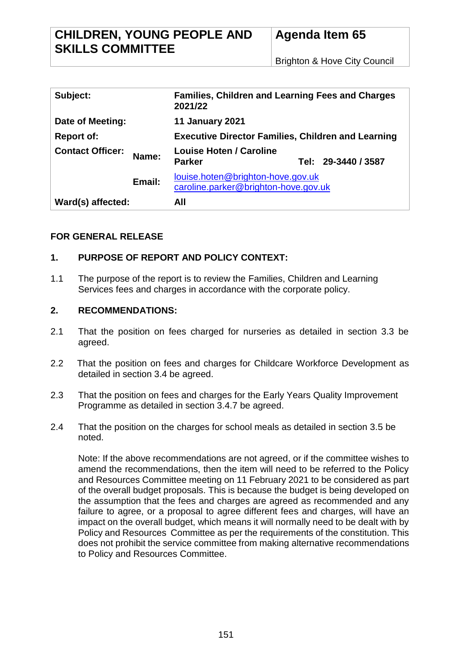| Subject:                |        | <b>Families, Children and Learning Fees and Charges</b><br>2021/22        |  |                     |
|-------------------------|--------|---------------------------------------------------------------------------|--|---------------------|
| Date of Meeting:        |        | <b>11 January 2021</b>                                                    |  |                     |
| <b>Report of:</b>       |        | <b>Executive Director Families, Children and Learning</b>                 |  |                     |
| <b>Contact Officer:</b> | Name:  | <b>Louise Hoten / Caroline</b><br><b>Parker</b>                           |  | Tel: 29-3440 / 3587 |
|                         | Email: | louise.hoten@brighton-hove.gov.uk<br>caroline.parker@brighton-hove.gov.uk |  |                     |
| Ward(s) affected:       |        | All                                                                       |  |                     |

# **FOR GENERAL RELEASE**

# **1. PURPOSE OF REPORT AND POLICY CONTEXT:**

1.1 The purpose of the report is to review the Families, Children and Learning Services fees and charges in accordance with the corporate policy.

## **2. RECOMMENDATIONS:**

- 2.1 That the position on fees charged for nurseries as detailed in section 3.3 be agreed.
- 2.2 That the position on fees and charges for Childcare Workforce Development as detailed in section 3.4 be agreed.
- 2.3 That the position on fees and charges for the Early Years Quality Improvement Programme as detailed in section 3.4.7 be agreed.
- 2.4 That the position on the charges for school meals as detailed in section 3.5 be noted.

Note: If the above recommendations are not agreed, or if the committee wishes to amend the recommendations, then the item will need to be referred to the Policy and Resources Committee meeting on 11 February 2021 to be considered as part of the overall budget proposals. This is because the budget is being developed on the assumption that the fees and charges are agreed as recommended and any failure to agree, or a proposal to agree different fees and charges, will have an impact on the overall budget, which means it will normally need to be dealt with by Policy and Resources Committee as per the requirements of the constitution. This does not prohibit the service committee from making alternative recommendations to Policy and Resources Committee.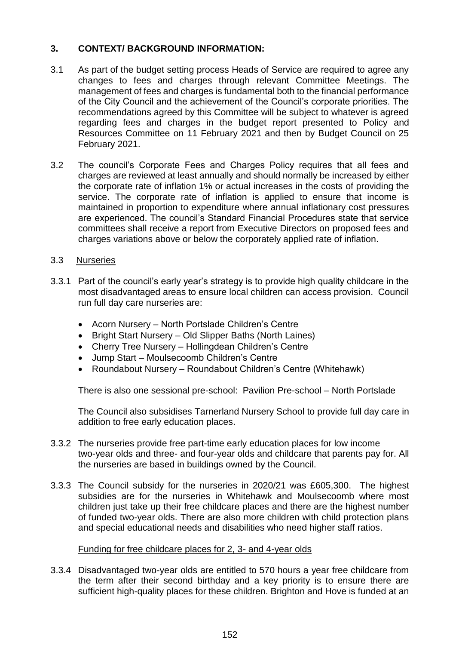# **3. CONTEXT/ BACKGROUND INFORMATION:**

- 3.1 As part of the budget setting process Heads of Service are required to agree any changes to fees and charges through relevant Committee Meetings. The management of fees and charges is fundamental both to the financial performance of the City Council and the achievement of the Council's corporate priorities. The recommendations agreed by this Committee will be subject to whatever is agreed regarding fees and charges in the budget report presented to Policy and Resources Committee on 11 February 2021 and then by Budget Council on 25 February 2021.
- 3.2 The council's Corporate Fees and Charges Policy requires that all fees and charges are reviewed at least annually and should normally be increased by either the corporate rate of inflation 1% or actual increases in the costs of providing the service. The corporate rate of inflation is applied to ensure that income is maintained in proportion to expenditure where annual inflationary cost pressures are experienced. The council's Standard Financial Procedures state that service committees shall receive a report from Executive Directors on proposed fees and charges variations above or below the corporately applied rate of inflation.

## 3.3 Nurseries

- 3.3.1 Part of the council's early year's strategy is to provide high quality childcare in the most disadvantaged areas to ensure local children can access provision. Council run full day care nurseries are:
	- Acorn Nursery North Portslade Children's Centre
	- Bright Start Nursery Old Slipper Baths (North Laines)
	- Cherry Tree Nursery Hollingdean Children's Centre
	- Jump Start Moulsecoomb Children's Centre
	- Roundabout Nursery Roundabout Children's Centre (Whitehawk)

There is also one sessional pre-school: Pavilion Pre-school – North Portslade

The Council also subsidises Tarnerland Nursery School to provide full day care in addition to free early education places.

- 3.3.2 The nurseries provide free part-time early education places for low income two-year olds and three- and four-year olds and childcare that parents pay for. All the nurseries are based in buildings owned by the Council.
- 3.3.3 The Council subsidy for the nurseries in 2020/21 was £605,300. The highest subsidies are for the nurseries in Whitehawk and Moulsecoomb where most children just take up their free childcare places and there are the highest number of funded two-year olds. There are also more children with child protection plans and special educational needs and disabilities who need higher staff ratios.

### Funding for free childcare places for 2, 3- and 4-year olds

3.3.4 Disadvantaged two-year olds are entitled to 570 hours a year free childcare from the term after their second birthday and a key priority is to ensure there are sufficient high-quality places for these children. Brighton and Hove is funded at an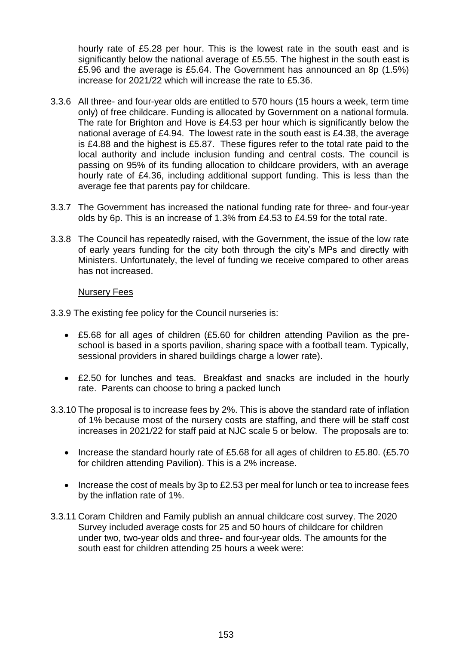hourly rate of £5.28 per hour. This is the lowest rate in the south east and is significantly below the national average of £5.55. The highest in the south east is £5.96 and the average is £5.64. The Government has announced an 8p (1.5%) increase for 2021/22 which will increase the rate to £5.36.

- 3.3.6 All three- and four-year olds are entitled to 570 hours (15 hours a week, term time only) of free childcare. Funding is allocated by Government on a national formula. The rate for Brighton and Hove is £4.53 per hour which is significantly below the national average of £4.94. The lowest rate in the south east is £4.38, the average is £4.88 and the highest is £5.87. These figures refer to the total rate paid to the local authority and include inclusion funding and central costs. The council is passing on 95% of its funding allocation to childcare providers, with an average hourly rate of £4.36, including additional support funding. This is less than the average fee that parents pay for childcare.
- 3.3.7 The Government has increased the national funding rate for three- and four-year olds by 6p. This is an increase of 1.3% from £4.53 to £4.59 for the total rate.
- 3.3.8 The Council has repeatedly raised, with the Government, the issue of the low rate of early years funding for the city both through the city's MPs and directly with Ministers. Unfortunately, the level of funding we receive compared to other areas has not increased.

### Nursery Fees

3.3.9 The existing fee policy for the Council nurseries is:

- £5.68 for all ages of children (£5.60 for children attending Pavilion as the preschool is based in a sports pavilion, sharing space with a football team. Typically, sessional providers in shared buildings charge a lower rate).
- £2.50 for lunches and teas. Breakfast and snacks are included in the hourly rate. Parents can choose to bring a packed lunch
- 3.3.10 The proposal is to increase fees by 2%. This is above the standard rate of inflation of 1% because most of the nursery costs are staffing, and there will be staff cost increases in 2021/22 for staff paid at NJC scale 5 or below. The proposals are to:
	- Increase the standard hourly rate of £5.68 for all ages of children to £5.80. (£5.70 for children attending Pavilion). This is a 2% increase.
	- Increase the cost of meals by 3p to £2.53 per meal for lunch or tea to increase fees by the inflation rate of 1%.
- 3.3.11 Coram Children and Family publish an annual childcare cost survey. The 2020 Survey included average costs for 25 and 50 hours of childcare for children under two, two-year olds and three- and four-year olds. The amounts for the south east for children attending 25 hours a week were: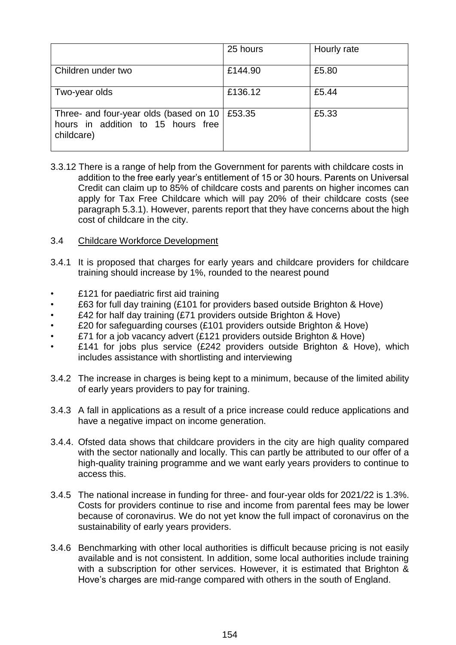|                                                                                            | 25 hours | Hourly rate |
|--------------------------------------------------------------------------------------------|----------|-------------|
| Children under two                                                                         | £144.90  | £5.80       |
| Two-year olds                                                                              | £136.12  | £5.44       |
| Three- and four-year olds (based on 10<br>hours in addition to 15 hours free<br>childcare) | £53.35   | £5.33       |

- 3.3.12 There is a range of help from the Government for parents with childcare costs in addition to the free early year's entitlement of 15 or 30 hours. Parents on Universal Credit can claim up to 85% of childcare costs and parents on higher incomes can apply for Tax Free Childcare which will pay 20% of their childcare costs (see paragraph 5.3.1). However, parents report that they have concerns about the high cost of childcare in the city.
- 3.4 Childcare Workforce Development
- 3.4.1 It is proposed that charges for early years and childcare providers for childcare training should increase by 1%, rounded to the nearest pound
- £121 for paediatric first aid training
- £63 for full day training (£101 for providers based outside Brighton & Hove)
- £42 for half day training (£71 providers outside Brighton & Hove)
- £20 for safeguarding courses (£101 providers outside Brighton & Hove)
- £71 for a job vacancy advert (£121 providers outside Brighton & Hove)
- £141 for jobs plus service (£242 providers outside Brighton & Hove), which includes assistance with shortlisting and interviewing
- 3.4.2 The increase in charges is being kept to a minimum, because of the limited ability of early years providers to pay for training.
- 3.4.3 A fall in applications as a result of a price increase could reduce applications and have a negative impact on income generation.
- 3.4.4. Ofsted data shows that childcare providers in the city are high quality compared with the sector nationally and locally. This can partly be attributed to our offer of a high-quality training programme and we want early years providers to continue to access this.
- 3.4.5 The national increase in funding for three- and four-year olds for 2021/22 is 1.3%. Costs for providers continue to rise and income from parental fees may be lower because of coronavirus. We do not yet know the full impact of coronavirus on the sustainability of early years providers.
- 3.4.6 Benchmarking with other local authorities is difficult because pricing is not easily available and is not consistent. In addition, some local authorities include training with a subscription for other services. However, it is estimated that Brighton & Hove's charges are mid-range compared with others in the south of England.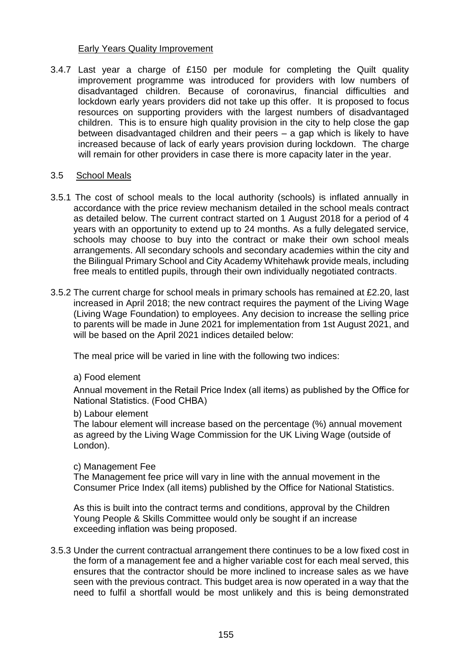## Early Years Quality Improvement

3.4.7 Last year a charge of £150 per module for completing the Quilt quality improvement programme was introduced for providers with low numbers of disadvantaged children. Because of coronavirus, financial difficulties and lockdown early years providers did not take up this offer. It is proposed to focus resources on supporting providers with the largest numbers of disadvantaged children. This is to ensure high quality provision in the city to help close the gap between disadvantaged children and their peers – a gap which is likely to have increased because of lack of early years provision during lockdown. The charge will remain for other providers in case there is more capacity later in the year.

### 3.5 School Meals

- 3.5.1 The cost of school meals to the local authority (schools) is inflated annually in accordance with the price review mechanism detailed in the school meals contract as detailed below. The current contract started on 1 August 2018 for a period of 4 years with an opportunity to extend up to 24 months. As a fully delegated service, schools may choose to buy into the contract or make their own school meals arrangements. All secondary schools and secondary academies within the city and the Bilingual Primary School and City Academy Whitehawk provide meals, including free meals to entitled pupils, through their own individually negotiated contracts.
- 3.5.2 The current charge for school meals in primary schools has remained at £2.20, last increased in April 2018; the new contract requires the payment of the Living Wage (Living Wage Foundation) to employees. Any decision to increase the selling price to parents will be made in June 2021 for implementation from 1st August 2021, and will be based on the April 2021 indices detailed below:

The meal price will be varied in line with the following two indices:

### a) Food element

Annual movement in the Retail Price Index (all items) as published by the Office for National Statistics. (Food CHBA)

#### b) Labour element

The labour element will increase based on the percentage (%) annual movement as agreed by the Living Wage Commission for the UK Living Wage (outside of London).

#### c) Management Fee

The Management fee price will vary in line with the annual movement in the Consumer Price Index (all items) published by the Office for National Statistics.

As this is built into the contract terms and conditions, approval by the Children Young People & Skills Committee would only be sought if an increase exceeding inflation was being proposed.

3.5.3 Under the current contractual arrangement there continues to be a low fixed cost in the form of a management fee and a higher variable cost for each meal served, this ensures that the contractor should be more inclined to increase sales as we have seen with the previous contract. This budget area is now operated in a way that the need to fulfil a shortfall would be most unlikely and this is being demonstrated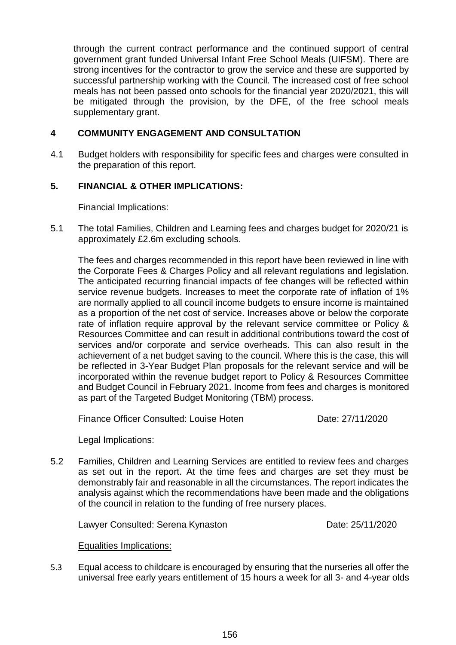through the current contract performance and the continued support of central government grant funded Universal Infant Free School Meals (UIFSM). There are strong incentives for the contractor to grow the service and these are supported by successful partnership working with the Council. The increased cost of free school meals has not been passed onto schools for the financial year 2020/2021, this will be mitigated through the provision, by the DFE, of the free school meals supplementary grant.

## **4 COMMUNITY ENGAGEMENT AND CONSULTATION**

4.1 Budget holders with responsibility for specific fees and charges were consulted in the preparation of this report.

## **5. FINANCIAL & OTHER IMPLICATIONS:**

Financial Implications:

5.1 The total Families, Children and Learning fees and charges budget for 2020/21 is approximately £2.6m excluding schools.

The fees and charges recommended in this report have been reviewed in line with the Corporate Fees & Charges Policy and all relevant regulations and legislation. The anticipated recurring financial impacts of fee changes will be reflected within service revenue budgets. Increases to meet the corporate rate of inflation of 1% are normally applied to all council income budgets to ensure income is maintained as a proportion of the net cost of service. Increases above or below the corporate rate of inflation require approval by the relevant service committee or Policy & Resources Committee and can result in additional contributions toward the cost of services and/or corporate and service overheads. This can also result in the achievement of a net budget saving to the council. Where this is the case, this will be reflected in 3-Year Budget Plan proposals for the relevant service and will be incorporated within the revenue budget report to Policy & Resources Committee and Budget Council in February 2021. Income from fees and charges is monitored as part of the Targeted Budget Monitoring (TBM) process.

Finance Officer Consulted: Louise Hoten **Date: 27/11/2020** 

Legal Implications:

5.2 Families, Children and Learning Services are entitled to review fees and charges as set out in the report. At the time fees and charges are set they must be demonstrably fair and reasonable in all the circumstances. The report indicates the analysis against which the recommendations have been made and the obligations of the council in relation to the funding of free nursery places.

Lawyer Consulted: Serena Kynaston **Date: 25/11/2020** 

### Equalities Implications:

5.3 Equal access to childcare is encouraged by ensuring that the nurseries all offer the universal free early years entitlement of 15 hours a week for all 3- and 4-year olds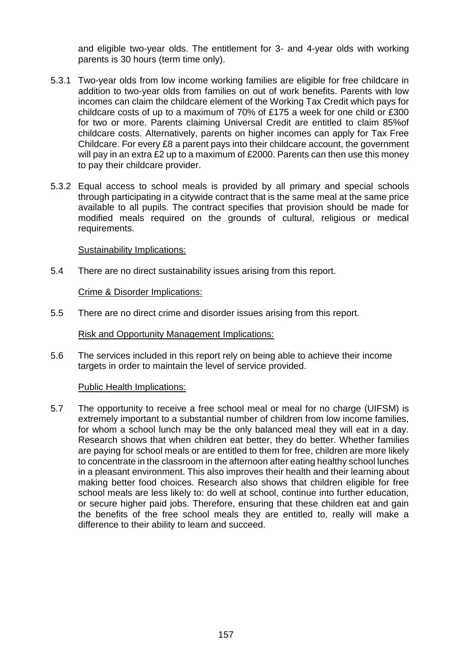and eligible two-year olds. The entitlement for 3- and 4-year olds with working parents is 30 hours (term time only).

- 5.3.1 Two-year olds from low income working families are eligible for free childcare in addition to two-year olds from families on out of work benefits. Parents with low incomes can claim the childcare element of the Working Tax Credit which pays for childcare costs of up to a maximum of 70% of £175 a week for one child or £300 for two or more. Parents claiming Universal Credit are entitled to claim 85%of childcare costs. Alternatively, parents on higher incomes can apply for Tax Free Childcare. For every £8 a parent pays into their childcare account, the government will pay in an extra £2 up to a maximum of £2000. Parents can then use this money to pay their childcare provider.
- 5.3.2 Equal access to school meals is provided by all primary and special schools through participating in a citywide contract that is the same meal at the same price available to all pupils. The contract specifies that provision should be made for modified meals required on the grounds of cultural, religious or medical requirements.

### Sustainability Implications:

5.4 There are no direct sustainability issues arising from this report.

Crime & Disorder Implications:

5.5 There are no direct crime and disorder issues arising from this report.

Risk and Opportunity Management Implications:

5.6 The services included in this report rely on being able to achieve their income targets in order to maintain the level of service provided.

#### Public Health Implications:

5.7 The opportunity to receive a free school meal or meal for no charge (UIFSM) is extremely important to a substantial number of children from low income families, for whom a school lunch may be the only balanced meal they will eat in a day. Research shows that when children eat better, they do better. Whether families are paying for school meals or are entitled to them for free, children are more likely to concentrate in the classroom in the afternoon after eating healthy school lunches in a pleasant environment. This also improves their health and their learning about making better food choices. Research also shows that children eligible for free school meals are less likely to: do well at school, continue into further education, or secure higher paid jobs. Therefore, ensuring that these children eat and gain the benefits of the free school meals they are entitled to, really will make a difference to their ability to learn and succeed.